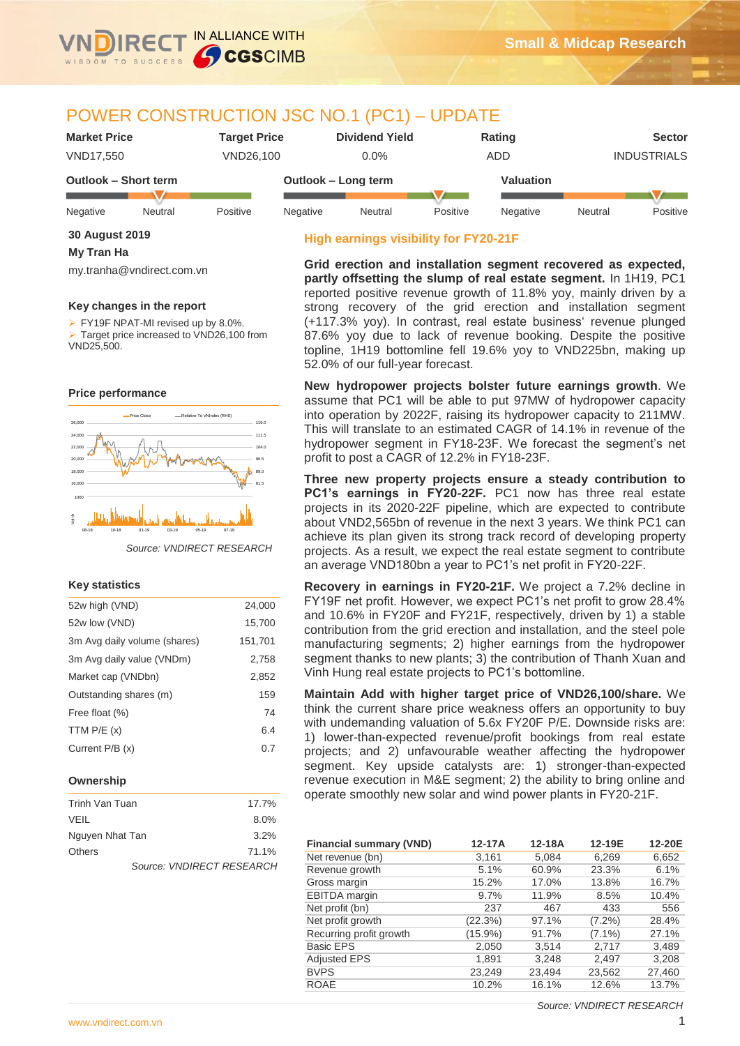

# POWER CONSTRUCTION JSC NO.1 (PC1) – UPDATE

| <b>Market Price</b>  |         | Tarqet Price |                     | <b>Dividend Yield</b> |          | Rating    |                    | <b>Sector</b> |
|----------------------|---------|--------------|---------------------|-----------------------|----------|-----------|--------------------|---------------|
| <b>VND17.550</b>     |         | VND26.100    |                     | $0.0\%$               | ADD      |           | <b>INDUSTRIALS</b> |               |
| Outlook - Short term |         |              | Outlook - Long term |                       |          | Valuation |                    |               |
| Negative             | Neutral | Positive     | Negative            | Neutral               | Positive | Negative  | Neutral            | Positive      |

# **High earnings visibility for FY20-21F**

**Grid erection and installation segment recovered as expected, partly offsetting the slump of real estate segment.** In 1H19, PC1 reported positive revenue growth of 11.8% yoy, mainly driven by a strong recovery of the grid erection and installation segment (+117.3% yoy). In contrast, real estate business' revenue plunged 87.6% yoy due to lack of revenue booking. Despite the positive topline, 1H19 bottomline fell 19.6% yoy to VND225bn, making up 52.0% of our full-year forecast.

**New hydropower projects bolster future earnings growth**. We assume that PC1 will be able to put 97MW of hydropower capacity into operation by 2022F, raising its hydropower capacity to 211MW. This will translate to an estimated CAGR of 14.1% in revenue of the hydropower segment in FY18-23F. We forecast the segment's net profit to post a CAGR of 12.2% in FY18-23F.

**Three new property projects ensure a steady contribution to**  PC1's earnings in FY20-22F. PC1 now has three real estate projects in its 2020-22F pipeline, which are expected to contribute about VND2,565bn of revenue in the next 3 years. We think PC1 can achieve its plan given its strong track record of developing property projects. As a result, we expect the real estate segment to contribute an average VND180bn a year to PC1's net profit in FY20-22F.

**Recovery in earnings in FY20-21F.** We project a 7.2% decline in FY19F net profit. However, we expect PC1's net profit to grow 28.4% and 10.6% in FY20F and FY21F, respectively, driven by 1) a stable contribution from the grid erection and installation, and the steel pole manufacturing segments; 2) higher earnings from the hydropower segment thanks to new plants; 3) the contribution of Thanh Xuan and Vinh Hung real estate projects to PC1's bottomline.

**Maintain Add with higher target price of VND26,100/share.** We think the current share price weakness offers an opportunity to buy with undemanding valuation of 5.6x FY20F P/E. Downside risks are: 1) lower-than-expected revenue/profit bookings from real estate projects; and 2) unfavourable weather affecting the hydropower segment. Key upside catalysts are: 1) stronger-than-expected revenue execution in M&E segment; 2) the ability to bring online and operate smoothly new solar and wind power plants in FY20-21F.

| <b>Financial summary (VND)</b> | 12-17A  | 12-18A | 12-19E    | 12-20E |
|--------------------------------|---------|--------|-----------|--------|
| Net revenue (bn)               | 3,161   | 5,084  | 6,269     | 6,652  |
| Revenue growth                 | 5.1%    | 60.9%  | 23.3%     | 6.1%   |
| Gross margin                   | 15.2%   | 17.0%  | 13.8%     | 16.7%  |
| <b>EBITDA</b> margin           | 9.7%    | 11.9%  | 8.5%      | 10.4%  |
| Net profit (bn)                | 237     | 467    | 433       | 556    |
| Net profit growth              | (22.3%) | 97.1%  | $(7.2\%)$ | 28.4%  |
| Recurring profit growth        | (15.9%) | 91.7%  | $(7.1\%)$ | 27.1%  |
| <b>Basic EPS</b>               | 2,050   | 3,514  | 2,717     | 3,489  |
| <b>Adjusted EPS</b>            | 1,891   | 3,248  | 2,497     | 3,208  |
| <b>BVPS</b>                    | 23,249  | 23,494 | 23,562    | 27,460 |
| <b>ROAE</b>                    | 10.2%   | 16.1%  | 12.6%     | 13.7%  |

**30 August 2019**

# **My Tran Ha**

my.tranha@vndirect.com.vn

# **Key changes in the report**

**FY19F NPAT-MI revised up by 8.0%.** Target price increased to  $\overline{V}$ ND26,100 from VND25,500.

#### **Price performance**



*Source: VNDIRECT RESEARCH*

### **Key statistics**

| 52w high (VND)               | 24,000  |
|------------------------------|---------|
| 52w low (VND)                | 15,700  |
| 3m Avg daily volume (shares) | 151,701 |
| 3m Avg daily value (VNDm)    | 2,758   |
| Market cap (VNDbn)           | 2,852   |
| Outstanding shares (m)       | 159     |
| Free float (%)               | 74      |
| TTM $P/E(x)$                 | 6.4     |
| Current P/B (x)              | 0.7     |
|                              |         |

## **Ownership**

| Trinh Van Tuan  | 17.7%                     |
|-----------------|---------------------------|
| VEIL            | 8.0%                      |
| Nguyen Nhat Tan | 3.2%                      |
| <b>Others</b>   | 71.1%                     |
|                 | Source: VNDIRECT RESEARCH |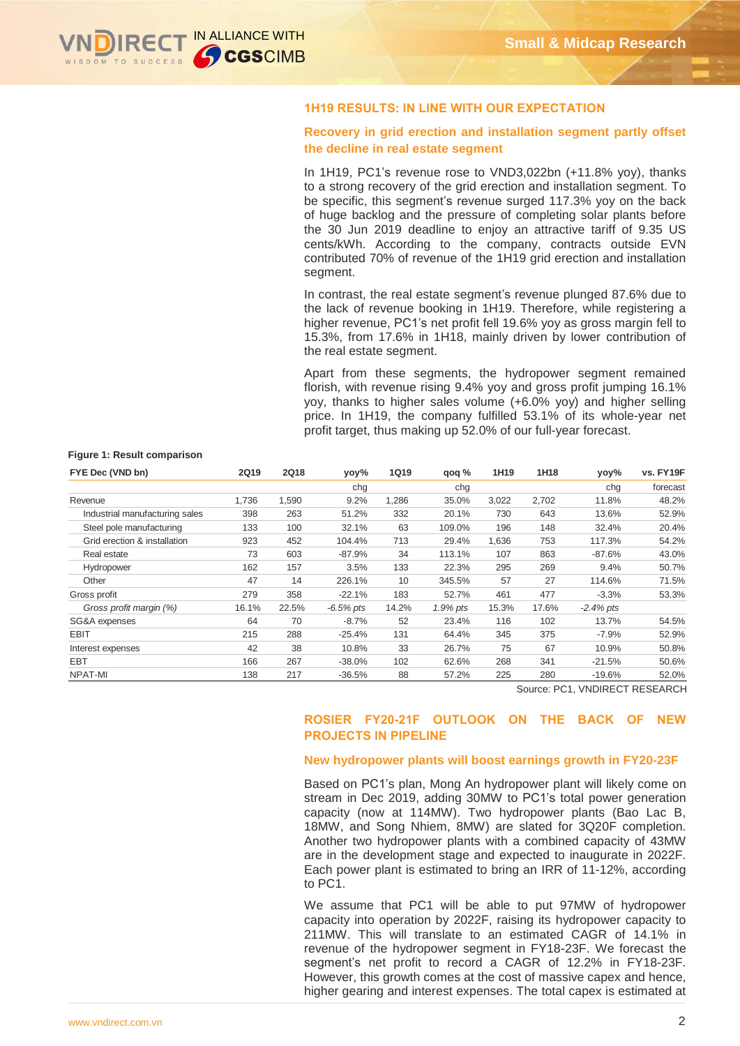

# **1H19 RESULTS: IN LINE WITH OUR EXPECTATION**

# **Recovery in grid erection and installation segment partly offset the decline in real estate segment**

In 1H19, PC1's revenue rose to VND3,022bn (+11.8% yoy), thanks to a strong recovery of the grid erection and installation segment. To be specific, this segment's revenue surged 117.3% yoy on the back of huge backlog and the pressure of completing solar plants before the 30 Jun 2019 deadline to enjoy an attractive tariff of 9.35 US cents/kWh. According to the company, contracts outside EVN contributed 70% of revenue of the 1H19 grid erection and installation segment.

In contrast, the real estate segment's revenue plunged 87.6% due to the lack of revenue booking in 1H19. Therefore, while registering a higher revenue, PC1's net profit fell 19.6% yoy as gross margin fell to 15.3%, from 17.6% in 1H18, mainly driven by lower contribution of the real estate segment.

Apart from these segments, the hydropower segment remained florish, with revenue rising 9.4% yoy and gross profit jumping 16.1% yoy, thanks to higher sales volume (+6.0% yoy) and higher selling price. In 1H19, the company fulfilled 53.1% of its whole-year net profit target, thus making up 52.0% of our full-year forecast.

#### **Figure 1: Result comparison**

| FYE Dec (VND bn)               | <b>2Q19</b> | <b>2Q18</b> | yoy%         | <b>1Q19</b> | qoq %    | 1H19  | 1H18  | yoy%         | vs. FY19F |
|--------------------------------|-------------|-------------|--------------|-------------|----------|-------|-------|--------------|-----------|
|                                |             |             | chg          |             | chg      |       |       | cha          | forecast  |
| Revenue                        | 1,736       | 1,590       | 9.2%         | 1,286       | 35.0%    | 3,022 | 2,702 | 11.8%        | 48.2%     |
| Industrial manufacturing sales | 398         | 263         | 51.2%        | 332         | 20.1%    | 730   | 643   | 13.6%        | 52.9%     |
| Steel pole manufacturing       | 133         | 100         | 32.1%        | 63          | 109.0%   | 196   | 148   | 32.4%        | 20.4%     |
| Grid erection & installation   | 923         | 452         | 104.4%       | 713         | 29.4%    | 1,636 | 753   | 117.3%       | 54.2%     |
| Real estate                    | 73          | 603         | $-87.9%$     | 34          | 113.1%   | 107   | 863   | $-87.6%$     | 43.0%     |
| Hydropower                     | 162         | 157         | 3.5%         | 133         | 22.3%    | 295   | 269   | 9.4%         | 50.7%     |
| Other                          | 47          | 14          | 226.1%       | 10          | 345.5%   | 57    | 27    | 114.6%       | 71.5%     |
| Gross profit                   | 279         | 358         | $-22.1%$     | 183         | 52.7%    | 461   | 477   | $-3.3%$      | 53.3%     |
| Gross profit margin (%)        | 16.1%       | 22.5%       | $-6.5\%$ pts | 14.2%       | 1.9% pts | 15.3% | 17.6% | $-2.4\%$ pts |           |
| SG&A expenses                  | 64          | 70          | $-8.7%$      | 52          | 23.4%    | 116   | 102   | 13.7%        | 54.5%     |
| <b>EBIT</b>                    | 215         | 288         | $-25.4%$     | 131         | 64.4%    | 345   | 375   | $-7.9\%$     | 52.9%     |
| Interest expenses              | 42          | 38          | 10.8%        | 33          | 26.7%    | 75    | 67    | 10.9%        | 50.8%     |
| <b>EBT</b>                     | 166         | 267         | $-38.0%$     | 102         | 62.6%    | 268   | 341   | $-21.5%$     | 50.6%     |
| NPAT-MI                        | 138         | 217         | $-36.5%$     | 88          | 57.2%    | 225   | 280   | $-19.6%$     | 52.0%     |

Source: PC1, VNDIRECT RESEARCH

# **ROSIER FY20-21F OUTLOOK ON THE BACK OF NEW PROJECTS IN PIPELINE**

## **New hydropower plants will boost earnings growth in FY20-23F**

Based on PC1's plan, Mong An hydropower plant will likely come on stream in Dec 2019, adding 30MW to PC1's total power generation capacity (now at 114MW). Two hydropower plants (Bao Lac B, 18MW, and Song Nhiem, 8MW) are slated for 3Q20F completion. Another two hydropower plants with a combined capacity of 43MW are in the development stage and expected to inaugurate in 2022F. Each power plant is estimated to bring an IRR of 11-12%, according to PC1.

We assume that PC1 will be able to put 97MW of hydropower capacity into operation by 2022F, raising its hydropower capacity to 211MW. This will translate to an estimated CAGR of 14.1% in revenue of the hydropower segment in FY18-23F. We forecast the segment's net profit to record a CAGR of 12.2% in FY18-23F. However, this growth comes at the cost of massive capex and hence, higher gearing and interest expenses. The total capex is estimated at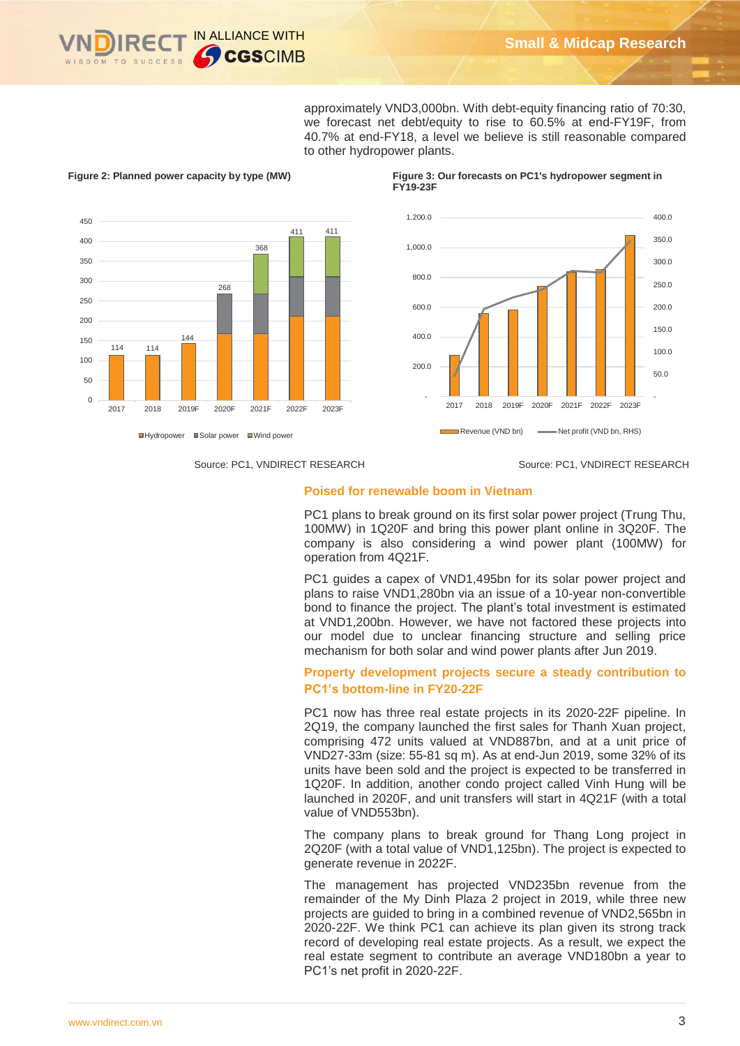

approximately VND3,000bn. With debt-equity financing ratio of 70:30, we forecast net debt/equity to rise to 60.5% at end-FY19F, from 40.7% at end-FY18, a level we believe is still reasonable compared to other hydropower plants.



**Figure 2: Planned power capacity by type (MW) Figure 3: Our forecasts on PC1's hydropower segment in** 

**FY19-23F**



Source: PC1, VNDIRECT RESEARCH Source: PC1, VNDIRECT RESEARCH

# **Poised for renewable boom in Vietnam**

PC1 plans to break ground on its first solar power project (Trung Thu, 100MW) in 1Q20F and bring this power plant online in 3Q20F. The company is also considering a wind power plant (100MW) for operation from 4Q21F.

PC1 guides a capex of VND1,495bn for its solar power project and plans to raise VND1,280bn via an issue of a 10-year non-convertible bond to finance the project. The plant's total investment is estimated at VND1,200bn. However, we have not factored these projects into our model due to unclear financing structure and selling price mechanism for both solar and wind power plants after Jun 2019.

# **Property development projects secure a steady contribution to PC1's bottom-line in FY20-22F**

PC1 now has three real estate projects in its 2020-22F pipeline. In 2Q19, the company launched the first sales for Thanh Xuan project, comprising 472 units valued at VND887bn, and at a unit price of VND27-33m (size: 55-81 sq m). As at end-Jun 2019, some 32% of its units have been sold and the project is expected to be transferred in 1Q20F. In addition, another condo project called Vinh Hung will be launched in 2020F, and unit transfers will start in 4Q21F (with a total value of VND553bn).

The company plans to break ground for Thang Long project in 2Q20F (with a total value of VND1,125bn). The project is expected to generate revenue in 2022F.

The management has projected VND235bn revenue from the remainder of the My Dinh Plaza 2 project in 2019, while three new projects are guided to bring in a combined revenue of VND2,565bn in 2020-22F. We think PC1 can achieve its plan given its strong track record of developing real estate projects. As a result, we expect the real estate segment to contribute an average VND180bn a year to PC1's net profit in 2020-22F.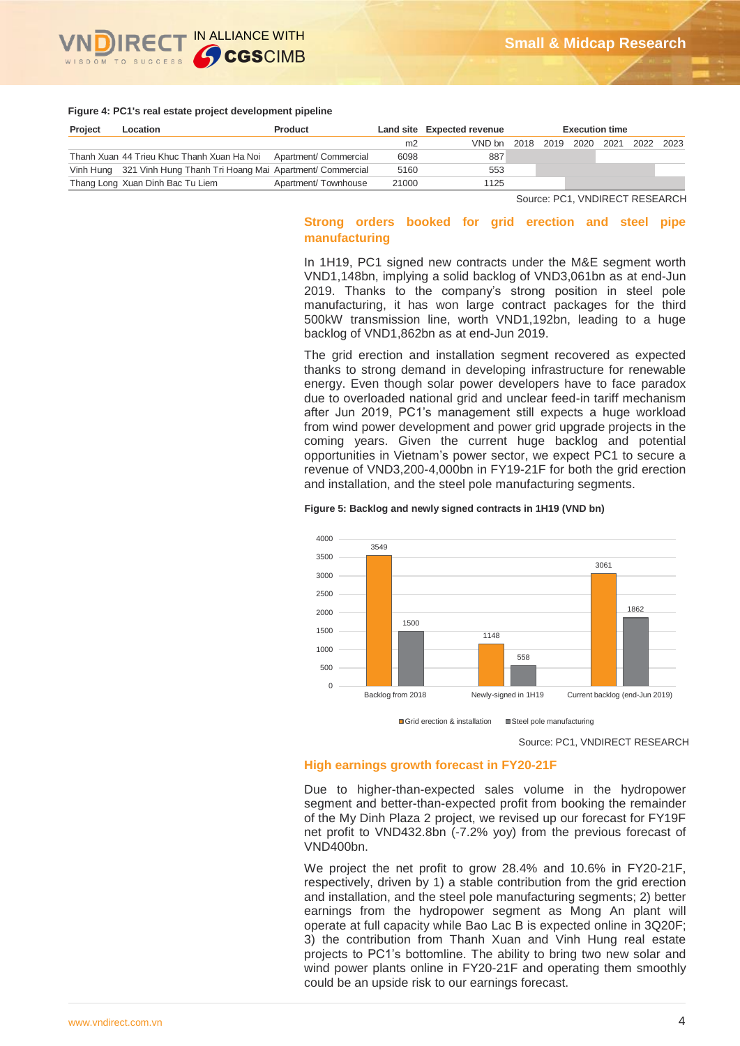

#### **Figure 4: PC1's real estate project development pipeline**

| Project | Location                                                          | <b>Product</b>      |                | Land site Expected revenue | <b>Execution time</b> |                     |  |      |      |
|---------|-------------------------------------------------------------------|---------------------|----------------|----------------------------|-----------------------|---------------------|--|------|------|
|         |                                                                   |                     | m <sub>2</sub> | VND bn                     |                       | 2018 2019 2020 2021 |  | 2022 | 2023 |
|         | Thanh Xuan 44 Trieu Khuc Thanh Xuan Ha Noi Apartment/ Commercial  |                     | 6098           | 887                        |                       |                     |  |      |      |
|         | Vinh Hung 321 Vinh Hung Thanh Tri Hoang Mai Apartment/ Commercial |                     | 5160           | 553                        |                       |                     |  |      |      |
|         | Thang Long Xuan Dinh Bac Tu Liem                                  | Apartment/Townhouse | 21000          | 1125                       |                       |                     |  |      |      |

Source: PC1, VNDIRECT RESEARCH

# **Strong orders booked for grid erection and steel pipe manufacturing**

In 1H19, PC1 signed new contracts under the M&E segment worth VND1,148bn, implying a solid backlog of VND3,061bn as at end-Jun 2019. Thanks to the company's strong position in steel pole manufacturing, it has won large contract packages for the third 500kW transmission line, worth VND1,192bn, leading to a huge backlog of VND1,862bn as at end-Jun 2019.

The grid erection and installation segment recovered as expected thanks to strong demand in developing infrastructure for renewable energy. Even though solar power developers have to face paradox due to overloaded national grid and unclear feed-in tariff mechanism after Jun 2019, PC1's management still expects a huge workload from wind power development and power grid upgrade projects in the coming years. Given the current huge backlog and potential opportunities in Vietnam's power sector, we expect PC1 to secure a revenue of VND3,200-4,000bn in FY19-21F for both the grid erection and installation, and the steel pole manufacturing segments.

#### **Figure 5: Backlog and newly signed contracts in 1H19 (VND bn)**



Grid erection & installation Steel pole manufacturing

Source: PC1, VNDIRECT RESEARCH

### **High earnings growth forecast in FY20-21F**

Due to higher-than-expected sales volume in the hydropower segment and better-than-expected profit from booking the remainder of the My Dinh Plaza 2 project, we revised up our forecast for FY19F net profit to VND432.8bn (-7.2% yoy) from the previous forecast of VND400bn.

We project the net profit to grow 28.4% and 10.6% in FY20-21F, respectively, driven by 1) a stable contribution from the grid erection and installation, and the steel pole manufacturing segments; 2) better earnings from the hydropower segment as Mong An plant will operate at full capacity while Bao Lac B is expected online in 3Q20F; 3) the contribution from Thanh Xuan and Vinh Hung real estate projects to PC1's bottomline. The ability to bring two new solar and wind power plants online in FY20-21F and operating them smoothly could be an upside risk to our earnings forecast.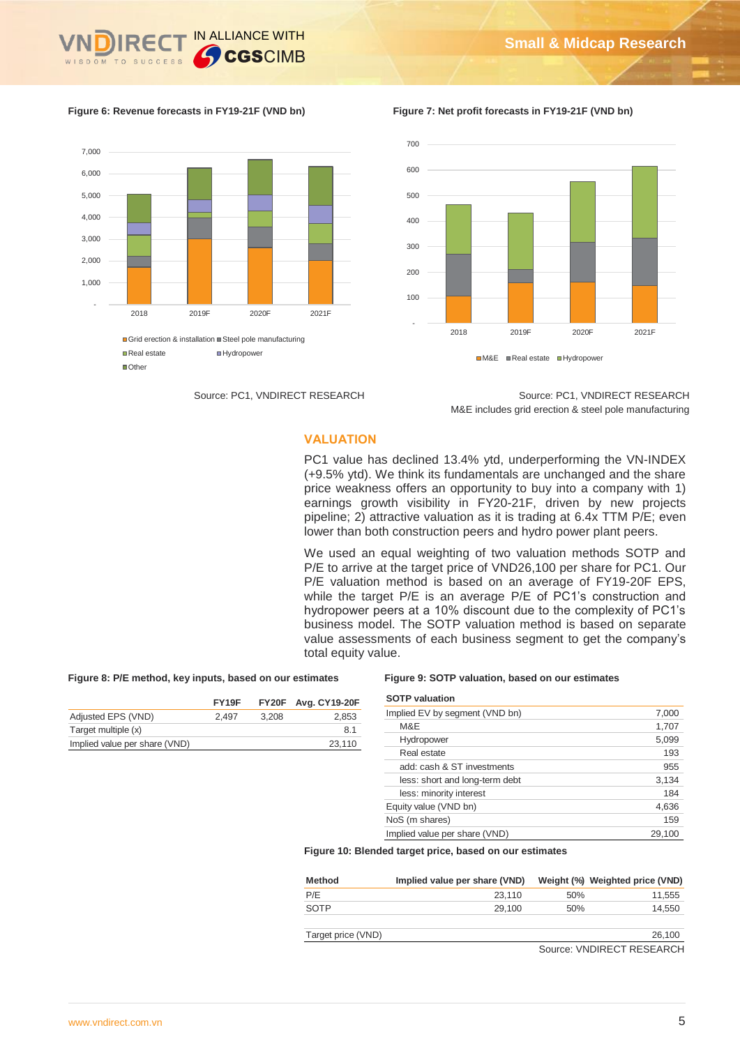



**Figure 6: Revenue forecasts in FY19-21F (VND bn) Figure 7: Net profit forecasts in FY19-21F (VND bn)**



Source: PC1, VNDIRECT RESEARCH Source: PC1, VNDIRECT RESEARCH M&E includes grid erection & steel pole manufacturing

# **VALUATION**

PC1 value has declined 13.4% ytd, underperforming the VN-INDEX (+9.5% ytd). We think its fundamentals are unchanged and the share price weakness offers an opportunity to buy into a company with 1) earnings growth visibility in FY20-21F, driven by new projects pipeline; 2) attractive valuation as it is trading at 6.4x TTM P/E; even lower than both construction peers and hydro power plant peers.

We used an equal weighting of two valuation methods SOTP and P/E to arrive at the target price of VND26,100 per share for PC1. Our P/E valuation method is based on an average of FY19-20F EPS. while the target P/E is an average P/E of PC1's construction and hydropower peers at a 10% discount due to the complexity of PC1's business model. The SOTP valuation method is based on separate value assessments of each business segment to get the company's total equity value.

# **Figure 8: P/E method, key inputs, based on our estimates Figure 9: SOTP valuation, based on our estimates**

|                               | FY <sub>19</sub> F |       | <b>FY20F</b> Avg. CY19-20F |
|-------------------------------|--------------------|-------|----------------------------|
| Adjusted EPS (VND)            | 2.497              | 3.208 | 2.853                      |
| Target multiple (x)           |                    |       | 8.1                        |
| Implied value per share (VND) |                    |       | 23.110                     |
|                               |                    |       |                            |

| <b>SOTP</b> valuation          |        |
|--------------------------------|--------|
| Implied EV by segment (VND bn) | 7,000  |
| M&E                            | 1,707  |
| Hydropower                     | 5,099  |
| Real estate                    | 193    |
| add: cash & ST investments     | 955    |
| less: short and long-term debt | 3,134  |
| less: minority interest        | 184    |
| Equity value (VND bn)          | 4,636  |
| NoS (m shares)                 | 159    |
| Implied value per share (VND)  | 29.100 |

**Figure 10: Blended target price, based on our estimates**

| Method | Implied value per share (VND) |     | Weight (%) Weighted price (VND) |
|--------|-------------------------------|-----|---------------------------------|
| P/E    | 23.110                        | 50% | 11.555                          |
| SOTP   | 29.100                        | 50% | 14.550                          |

Target price (VND) 26,100

Source: VNDIRECT RESEARCH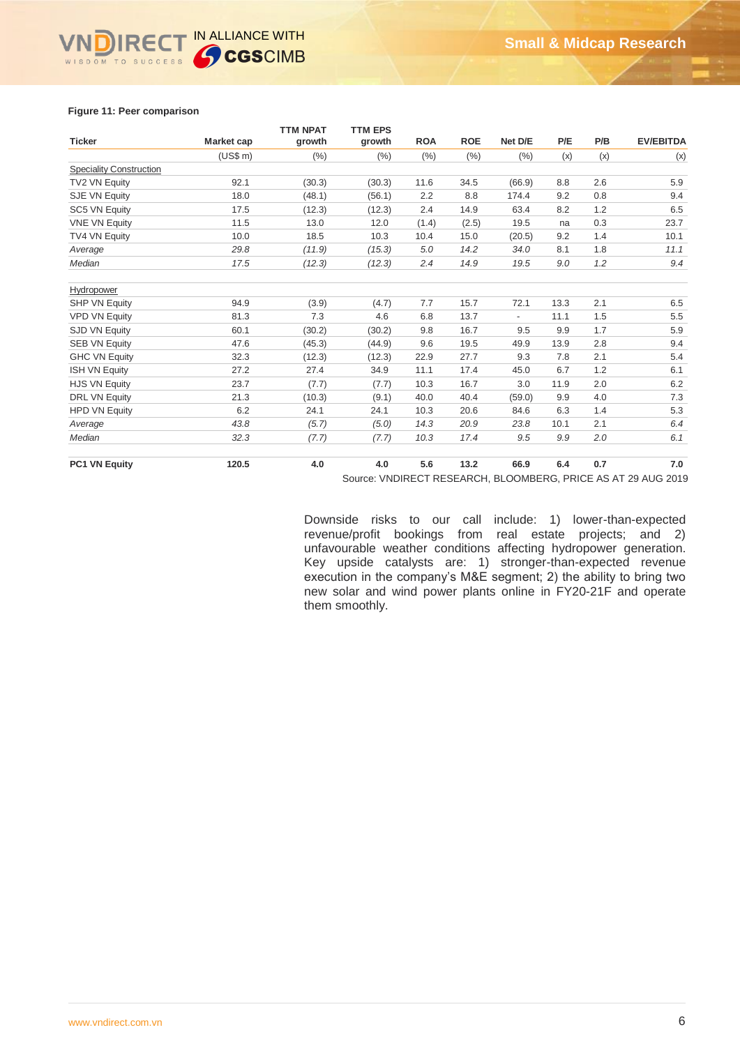# **Figure 11: Peer comparison**

|                                |            | <b>TTM NPAT</b> | <b>TTM EPS</b> |            |            |                          |      |     |                  |
|--------------------------------|------------|-----------------|----------------|------------|------------|--------------------------|------|-----|------------------|
| <b>Ticker</b>                  | Market cap | growth          | growth         | <b>ROA</b> | <b>ROE</b> | Net D/E                  | P/E  | P/B | <b>EV/EBITDA</b> |
|                                | (US\$ m)   | (%)             | (%)            | (% )       | (% )       | (%)                      | (x)  | (x) | (x)              |
| <b>Speciality Construction</b> |            |                 |                |            |            |                          |      |     |                  |
| TV2 VN Equity                  | 92.1       | (30.3)          | (30.3)         | 11.6       | 34.5       | (66.9)                   | 8.8  | 2.6 | 5.9              |
| SJE VN Equity                  | 18.0       | (48.1)          | (56.1)         | 2.2        | 8.8        | 174.4                    | 9.2  | 0.8 | 9.4              |
| SC5 VN Equity                  | 17.5       | (12.3)          | (12.3)         | 2.4        | 14.9       | 63.4                     | 8.2  | 1.2 | 6.5              |
| <b>VNE VN Equity</b>           | 11.5       | 13.0            | 12.0           | (1.4)      | (2.5)      | 19.5                     | na   | 0.3 | 23.7             |
| TV4 VN Equity                  | 10.0       | 18.5            | 10.3           | 10.4       | 15.0       | (20.5)                   | 9.2  | 1.4 | 10.1             |
| Average                        | 29.8       | (11.9)          | (15.3)         | 5.0        | 14.2       | 34.0                     | 8.1  | 1.8 | 11.1             |
| Median                         | 17.5       | (12.3)          | (12.3)         | 2.4        | 14.9       | 19.5                     | 9.0  | 1.2 | 9.4              |
| Hydropower                     |            |                 |                |            |            |                          |      |     |                  |
| <b>SHP VN Equity</b>           | 94.9       | (3.9)           | (4.7)          | 7.7        | 15.7       | 72.1                     | 13.3 | 2.1 | 6.5              |
| <b>VPD VN Equity</b>           | 81.3       | 7.3             | 4.6            | 6.8        | 13.7       | $\overline{\phantom{a}}$ | 11.1 | 1.5 | 5.5              |
| SJD VN Equity                  | 60.1       | (30.2)          | (30.2)         | 9.8        | 16.7       | 9.5                      | 9.9  | 1.7 | 5.9              |
| <b>SEB VN Equity</b>           | 47.6       | (45.3)          | (44.9)         | 9.6        | 19.5       | 49.9                     | 13.9 | 2.8 | 9.4              |
| <b>GHC VN Equity</b>           | 32.3       | (12.3)          | (12.3)         | 22.9       | 27.7       | 9.3                      | 7.8  | 2.1 | 5.4              |
| <b>ISH VN Equity</b>           | 27.2       | 27.4            | 34.9           | 11.1       | 17.4       | 45.0                     | 6.7  | 1.2 | 6.1              |
| <b>HJS VN Equity</b>           | 23.7       | (7.7)           | (7.7)          | 10.3       | 16.7       | 3.0                      | 11.9 | 2.0 | 6.2              |
| <b>DRL VN Equity</b>           | 21.3       | (10.3)          | (9.1)          | 40.0       | 40.4       | (59.0)                   | 9.9  | 4.0 | 7.3              |
| <b>HPD VN Equity</b>           | 6.2        | 24.1            | 24.1           | 10.3       | 20.6       | 84.6                     | 6.3  | 1.4 | 5.3              |
| Average                        | 43.8       | (5.7)           | (5.0)          | 14.3       | 20.9       | 23.8                     | 10.1 | 2.1 | 6.4              |
| Median                         | 32.3       | (7.7)           | (7.7)          | 10.3       | 17.4       | 9.5                      | 9.9  | 2.0 | 6.1              |
| PC1 VN Equity                  | 120.5      | 4.0             | 4.0            | 5.6        | 13.2       | 66.9                     | 6.4  | 0.7 | 7.0              |

Source: VNDIRECT RESEARCH, BLOOMBERG, PRICE AS AT 29 AUG 2019

Downside risks to our call include: 1) lower-than-expected revenue/profit bookings from real estate projects; and 2) unfavourable weather conditions affecting hydropower generation. Key upside catalysts are: 1) stronger-than-expected revenue execution in the company's M&E segment; 2) the ability to bring two new solar and wind power plants online in FY20-21F and operate them smoothly.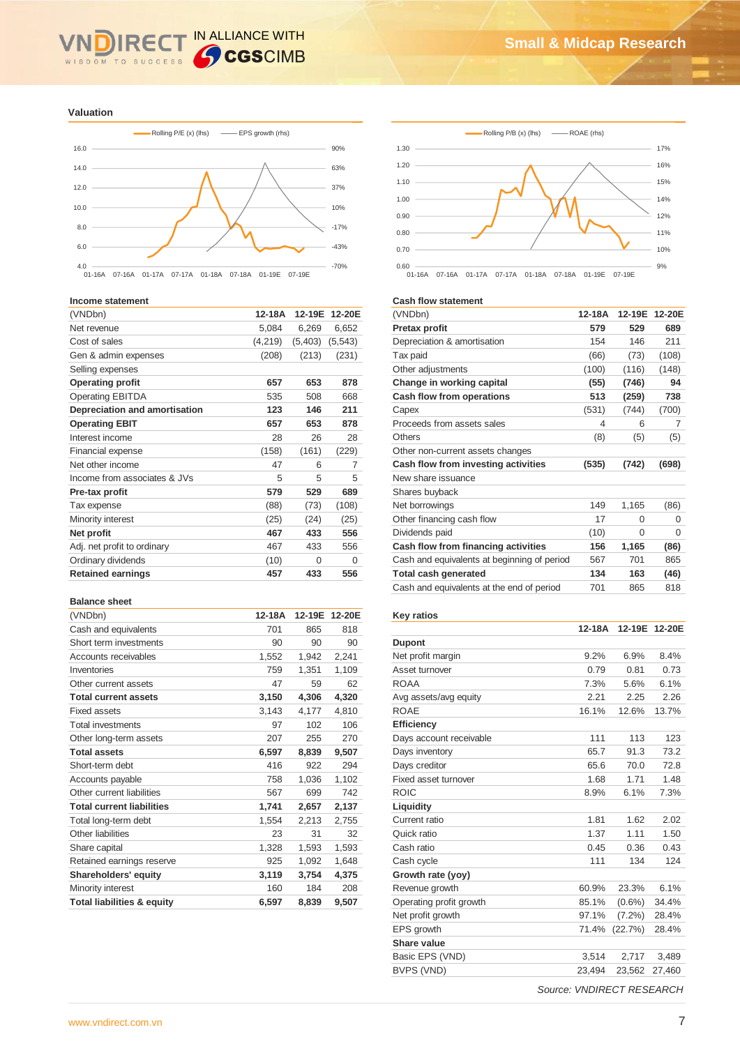# IN ALLIANCE WITH  $\overline{\mathsf{R}}$ WISDOM TO SUCCESS

**Valuation**



#### **Income statement**

| (VNDbn)                       | 12-18A  |          | 12-19E 12-20E |
|-------------------------------|---------|----------|---------------|
| Net revenue                   | 5,084   | 6,269    | 6,652         |
| Cost of sales                 | (4,219) | (5,403)  | (5, 543)      |
| Gen & admin expenses          | (208)   | (213)    | (231)         |
| Selling expenses              |         |          |               |
| <b>Operating profit</b>       | 657     | 653      | 878           |
| <b>Operating EBITDA</b>       | 535     | 508      | 668           |
| Depreciation and amortisation | 123     | 146      | 211           |
| <b>Operating EBIT</b>         | 657     | 653      | 878           |
| Interest income               | 28      | 26       | 28            |
| <b>Financial expense</b>      | (158)   | (161)    | (229)         |
| Net other income              | 47      | 6        | 7             |
| Income from associates & JVs  | 5       | 5        | 5             |
| Pre-tax profit                | 579     | 529      | 689           |
| Tax expense                   | (88)    | (73)     | (108)         |
| Minority interest             | (25)    | (24)     | (25)          |
| Net profit                    | 467     | 433      | 556           |
| Adj. net profit to ordinary   | 467     | 433      | 556           |
| Ordinary dividends            | (10)    | $\Omega$ | 0             |
| <b>Retained earnings</b>      | 457     | 433      | 556           |

#### **Balance sheet**

| (VNDbn)                               | 12-18A | 12-19E | 12-20E |
|---------------------------------------|--------|--------|--------|
| Cash and equivalents                  | 701    | 865    | 818    |
| Short term investments                | 90     | 90     | 90     |
| Accounts receivables                  | 1,552  | 1,942  | 2,241  |
| Inventories                           | 759    | 1,351  | 1,109  |
| Other current assets                  | 47     | 59     | 62     |
| <b>Total current assets</b>           | 3,150  | 4,306  | 4,320  |
| <b>Fixed assets</b>                   | 3,143  | 4,177  | 4,810  |
| <b>Total investments</b>              | 97     | 102    | 106    |
| Other long-term assets                | 207    | 255    | 270    |
| <b>Total assets</b>                   | 6,597  | 8,839  | 9,507  |
| Short-term debt                       | 416    | 922    | 294    |
| Accounts payable                      | 758    | 1,036  | 1,102  |
| Other current liabilities             | 567    | 699    | 742    |
| <b>Total current liabilities</b>      | 1,741  | 2,657  | 2,137  |
| Total long-term debt                  | 1,554  | 2,213  | 2,755  |
| Other liabilities                     | 23     | 31     | 32     |
| Share capital                         | 1,328  | 1,593  | 1,593  |
| Retained earnings reserve             | 925    | 1,092  | 1,648  |
| Shareholders' equity                  | 3,119  | 3,754  | 4,375  |
| Minority interest                     | 160    | 184    | 208    |
| <b>Total liabilities &amp; equity</b> | 6,597  | 8,839  | 9,507  |





#### **Cash flow statement**

| 12-18A |          | 12-19E 12-20E |
|--------|----------|---------------|
| 579    | 529      | 689           |
| 154    | 146      | 211           |
| (66)   | (73)     | (108)         |
| (100)  | (116)    | (148)         |
| (55)   | (746)    | 94            |
| 513    | (259)    | 738           |
| (531)  | (744)    | (700)         |
| 4      | 6        | 7             |
| (8)    | (5)      | (5)           |
|        |          |               |
| (535)  | (742)    | (698)         |
|        |          |               |
|        |          |               |
| 149    | 1,165    | (86)          |
| 17     | 0        | $\Omega$      |
| (10)   | $\Omega$ | $\Omega$      |
| 156    | 1,165    | (86)          |
| 567    | 701      | 865           |
| 134    | 163      | (46)          |
| 701    | 865      | 818           |
|        |          |               |

# **Key ratios**

|                         | 12-18A | 12-19E    | 12-20E |
|-------------------------|--------|-----------|--------|
| <b>Dupont</b>           |        |           |        |
| Net profit margin       | 9.2%   | 6.9%      | 8.4%   |
| Asset turnover          | 0.79   | 0.81      | 0.73   |
| <b>ROAA</b>             | 7.3%   | 5.6%      | 6.1%   |
| Avg assets/avg equity   | 2.21   | 2.25      | 2.26   |
| <b>ROAE</b>             | 16.1%  | 12.6%     | 13.7%  |
| <b>Efficiency</b>       |        |           |        |
| Days account receivable | 111    | 113       | 123    |
| Days inventory          | 65.7   | 91.3      | 73.2   |
| Days creditor           | 65.6   | 70.0      | 72.8   |
| Fixed asset turnover    | 1.68   | 1.71      | 1.48   |
| <b>ROIC</b>             | 8.9%   | 6.1%      | 7.3%   |
| Liquidity               |        |           |        |
| Current ratio           | 1.81   | 1.62      | 2.02   |
| Quick ratio             | 1.37   | 1.11      | 1.50   |
| Cash ratio              | 0.45   | 0.36      | 0.43   |
| Cash cycle              | 111    | 134       | 124    |
| Growth rate (yoy)       |        |           |        |
| Revenue growth          | 60.9%  | 23.3%     | 6.1%   |
| Operating profit growth | 85.1%  | $(0.6\%)$ | 34.4%  |
| Net profit growth       | 97.1%  | $(7.2\%)$ | 28.4%  |
| EPS growth              | 71.4%  | (22.7%)   | 28.4%  |
| Share value             |        |           |        |
| Basic EPS (VND)         | 3,514  | 2,717     | 3,489  |
| BVPS (VND)              | 23,494 | 23,562    | 27,460 |

*Source: VNDIRECT RESEARCH*